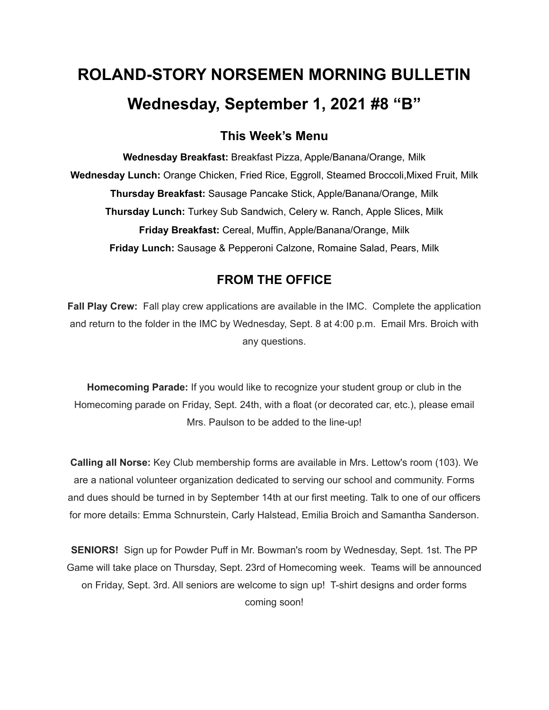# **ROLAND-STORY NORSEMEN MORNING BULLETIN Wednesday, September 1, 2021 #8 "B"**

## **This Week's Menu**

**Wednesday Breakfast:** Breakfast Pizza, Apple/Banana/Orange, Milk **Wednesday Lunch:** Orange Chicken, Fried Rice, Eggroll, Steamed Broccoli,Mixed Fruit, Milk **Thursday Breakfast:** Sausage Pancake Stick, Apple/Banana/Orange, Milk **Thursday Lunch:** Turkey Sub Sandwich, Celery w. Ranch, Apple Slices, Milk **Friday Breakfast:** Cereal, Muffin, Apple/Banana/Orange, Milk **Friday Lunch:** Sausage & Pepperoni Calzone, Romaine Salad, Pears, Milk

## **FROM THE OFFICE**

**Fall Play Crew:** Fall play crew applications are available in the IMC. Complete the application and return to the folder in the IMC by Wednesday, Sept. 8 at 4:00 p.m. Email Mrs. Broich with any questions.

**Homecoming Parade:** If you would like to recognize your student group or club in the Homecoming parade on Friday, Sept. 24th, with a float (or decorated car, etc.), please email Mrs. Paulson to be added to the line-up!

**Calling all Norse:** Key Club membership forms are available in Mrs. Lettow's room (103). We are a national volunteer organization dedicated to serving our school and community. Forms and dues should be turned in by September 14th at our first meeting. Talk to one of our officers for more details: Emma Schnurstein, Carly Halstead, Emilia Broich and Samantha Sanderson.

**SENIORS!** Sign up for Powder Puff in Mr. Bowman's room by Wednesday, Sept. 1st. The PP Game will take place on Thursday, Sept. 23rd of Homecoming week. Teams will be announced on Friday, Sept. 3rd. All seniors are welcome to sign up! T-shirt designs and order forms coming soon!